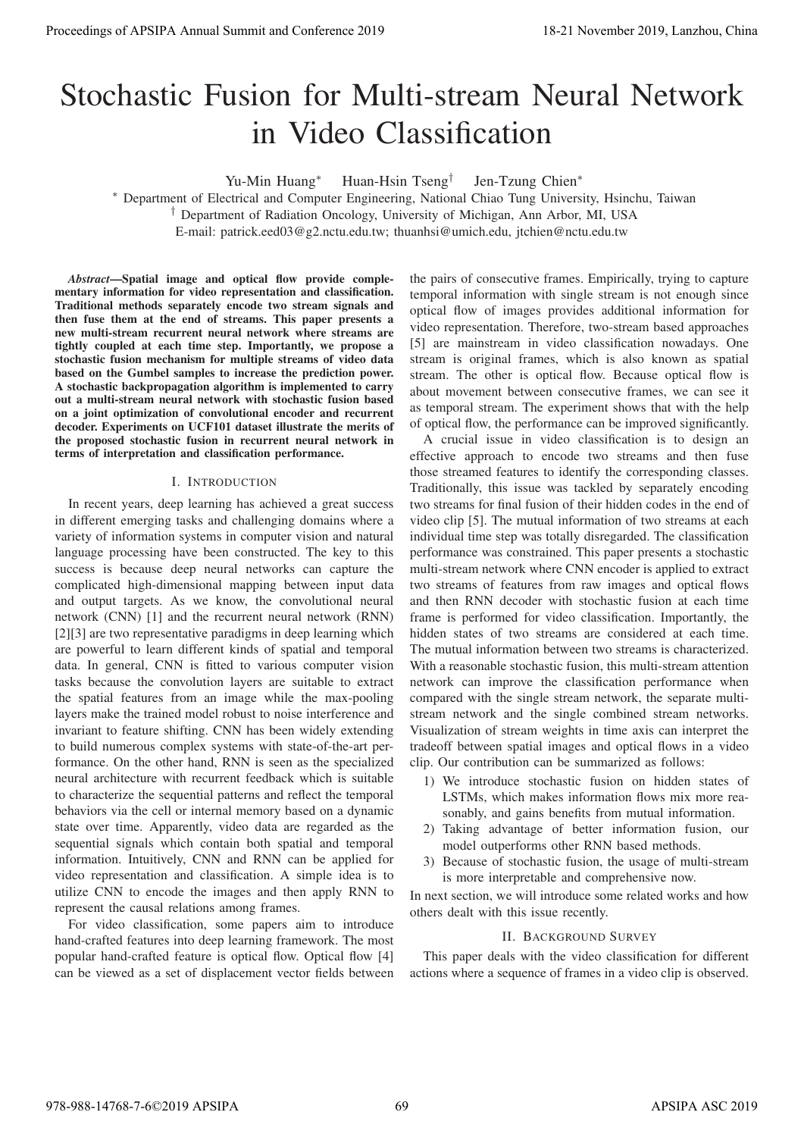# Stochastic Fusion for Multi-stream Neural Network in Video Classification

Yu-Min Huang∗ Huan-Hsin Tseng† Jen-Tzung Chien∗

∗ Department of Electrical and Computer Engineering, National Chiao Tung University, Hsinchu, Taiwan

† Department of Radiation Oncology, University of Michigan, Ann Arbor, MI, USA

E-mail: patrick.eed03@g2.nctu.edu.tw; thuanhsi@umich.edu, jtchien@nctu.edu.tw

*Abstract*—Spatial image and optical flow provide complementary information for video representation and classification. Traditional methods separately encode two stream signals and then fuse them at the end of streams. This paper presents a new multi-stream recurrent neural network where streams are tightly coupled at each time step. Importantly, we propose a stochastic fusion mechanism for multiple streams of video data based on the Gumbel samples to increase the prediction power. A stochastic backpropagation algorithm is implemented to carry out a multi-stream neural network with stochastic fusion based on a joint optimization of convolutional encoder and recurrent decoder. Experiments on UCF101 dataset illustrate the merits of the proposed stochastic fusion in recurrent neural network in terms of interpretation and classification performance.

# I. INTRODUCTION

In recent years, deep learning has achieved a great success in different emerging tasks and challenging domains where a variety of information systems in computer vision and natural language processing have been constructed. The key to this success is because deep neural networks can capture the complicated high-dimensional mapping between input data and output targets. As we know, the convolutional neural network (CNN) [1] and the recurrent neural network (RNN) [2][3] are two representative paradigms in deep learning which are powerful to learn different kinds of spatial and temporal data. In general, CNN is fitted to various computer vision tasks because the convolution layers are suitable to extract the spatial features from an image while the max-pooling layers make the trained model robust to noise interference and invariant to feature shifting. CNN has been widely extending to build numerous complex systems with state-of-the-art performance. On the other hand, RNN is seen as the specialized neural architecture with recurrent feedback which is suitable to characterize the sequential patterns and reflect the temporal behaviors via the cell or internal memory based on a dynamic state over time. Apparently, video data are regarded as the sequential signals which contain both spatial and temporal information. Intuitively, CNN and RNN can be applied for video representation and classification. A simple idea is to utilize CNN to encode the images and then apply RNN to represent the causal relations among frames. **Proceedings of APSIPA Annual Summit and Conference 2019**<br> **Stochastic Fusion for Multi-stream Neumating inter-<br>
in Video Classification inter-<br>
in Video Classification inter-<br>
in Video Classification inter-<br>
inter-<br>
inte** 

For video classification, some papers aim to introduce hand-crafted features into deep learning framework. The most popular hand-crafted feature is optical flow. Optical flow [4] can be viewed as a set of displacement vector fields between

the pairs of consecutive frames. Empirically, trying to capture temporal information with single stream is not enough since optical flow of images provides additional information for video representation. Therefore, two-stream based approaches [5] are mainstream in video classification nowadays. One stream is original frames, which is also known as spatial stream. The other is optical flow. Because optical flow is about movement between consecutive frames, we can see it as temporal stream. The experiment shows that with the help of optical flow, the performance can be improved significantly.

A crucial issue in video classification is to design an effective approach to encode two streams and then fuse those streamed features to identify the corresponding classes. Traditionally, this issue was tackled by separately encoding two streams for final fusion of their hidden codes in the end of video clip [5]. The mutual information of two streams at each individual time step was totally disregarded. The classification performance was constrained. This paper presents a stochastic multi-stream network where CNN encoder is applied to extract two streams of features from raw images and optical flows and then RNN decoder with stochastic fusion at each time frame is performed for video classification. Importantly, the hidden states of two streams are considered at each time. The mutual information between two streams is characterized. With a reasonable stochastic fusion, this multi-stream attention network can improve the classification performance when compared with the single stream network, the separate multistream network and the single combined stream networks. Visualization of stream weights in time axis can interpret the tradeoff between spatial images and optical flows in a video clip. Our contribution can be summarized as follows:

- 1) We introduce stochastic fusion on hidden states of LSTMs, which makes information flows mix more reasonably, and gains benefits from mutual information.
- 2) Taking advantage of better information fusion, our model outperforms other RNN based methods.
- 3) Because of stochastic fusion, the usage of multi-stream is more interpretable and comprehensive now.

In next section, we will introduce some related works and how others dealt with this issue recently.

# II. BACKGROUND SURVEY

This paper deals with the video classification for different actions where a sequence of frames in a video clip is observed.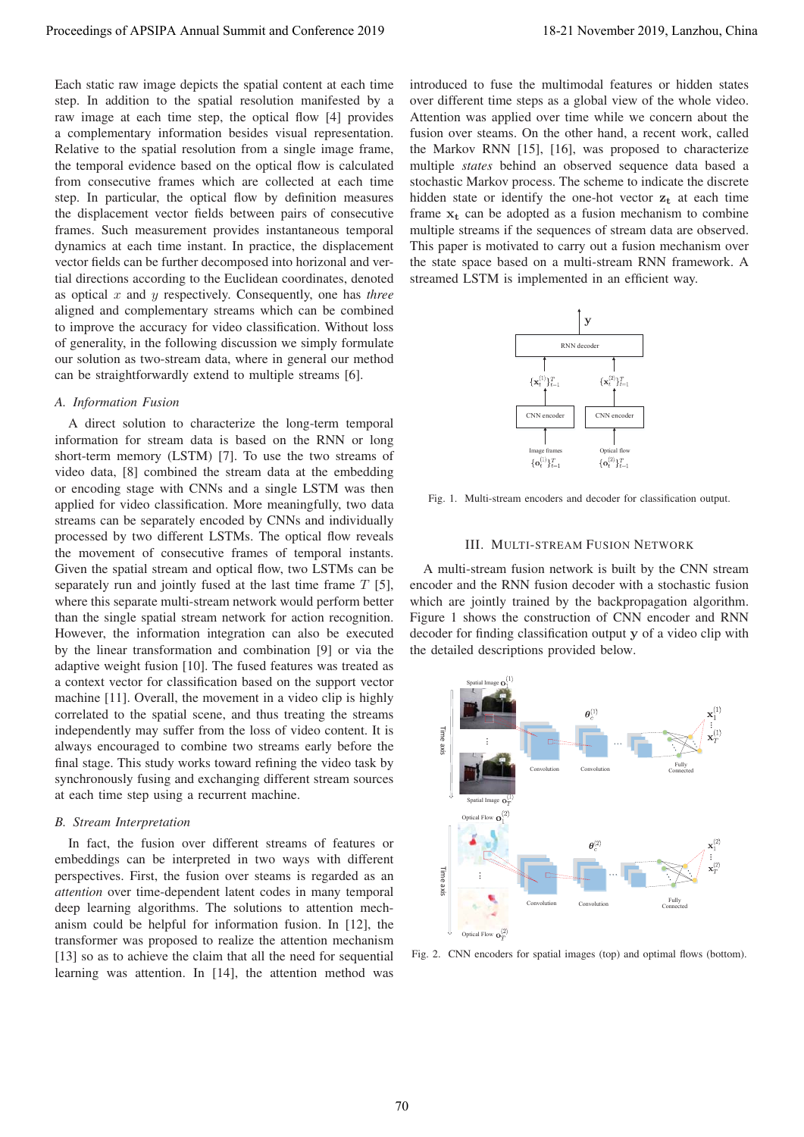Each static raw image depicts the spatial content at each time step. In addition to the spatial resolution manifested by a raw image at each time step, the optical flow [4] provides a complementary information besides visual representation. Relative to the spatial resolution from a single image frame, the temporal evidence based on the optical flow is calculated from consecutive frames which are collected at each time step. In particular, the optical flow by definition measures the displacement vector fields between pairs of consecutive frames. Such measurement provides instantaneous temporal dynamics at each time instant. In practice, the displacement vector fields can be further decomposed into horizonal and vertial directions according to the Euclidean coordinates, denoted as optical x and y respectively. Consequently, one has *three* aligned and complementary streams which can be combined to improve the accuracy for video classification. Without loss of generality, in the following discussion we simply formulate our solution as two-stream data, where in general our method can be straightforwardly extend to multiple streams [6].

# *A. Information Fusion*

A direct solution to characterize the long-term temporal information for stream data is based on the RNN or long short-term memory (LSTM) [7]. To use the two streams of video data, [8] combined the stream data at the embedding or encoding stage with CNNs and a single LSTM was then applied for video classification. More meaningfully, two data streams can be separately encoded by CNNs and individually processed by two different LSTMs. The optical flow reveals the movement of consecutive frames of temporal instants. Given the spatial stream and optical flow, two LSTMs can be separately run and jointly fused at the last time frame  $T$  [5], where this separate multi-stream network would perform better than the single spatial stream network for action recognition. However, the information integration can also be executed by the linear transformation and combination [9] or via the adaptive weight fusion [10]. The fused features was treated as a context vector for classification based on the support vector machine [11]. Overall, the movement in a video clip is highly correlated to the spatial scene, and thus treating the streams independently may suffer from the loss of video content. It is always encouraged to combine two streams early before the final stage. This study works toward refining the video task by synchronously fusing and exchanging different stream sources at each time step using a recurrent machine. Proceedings of APSIPA Annual Summit and Conference 2019<br>
For the line in the procedure of APSIPA Annual Summit and Conference 2019<br>
For the line in the conference 2019 in the conference 2019 in the conference 2019 in the

## *B. Stream Interpretation*

In fact, the fusion over different streams of features or embeddings can be interpreted in two ways with different perspectives. First, the fusion over steams is regarded as an *attention* over time-dependent latent codes in many temporal deep learning algorithms. The solutions to attention mechanism could be helpful for information fusion. In [12], the transformer was proposed to realize the attention mechanism [13] so as to achieve the claim that all the need for sequential learning was attention. In [14], the attention method was

introduced to fuse the multimodal features or hidden states over different time steps as a global view of the whole video. Attention was applied over time while we concern about the fusion over steams. On the other hand, a recent work, called the Markov RNN [15], [16], was proposed to characterize multiple *states* behind an observed sequence data based a stochastic Markov process. The scheme to indicate the discrete hidden state or identify the one-hot vector **z<sup>t</sup>** at each time frame **x<sup>t</sup>** can be adopted as a fusion mechanism to combine multiple streams if the sequences of stream data are observed. This paper is motivated to carry out a fusion mechanism over the state space based on a multi-stream RNN framework. A streamed LSTM is implemented in an efficient way.



Fig. 1. Multi-stream encoders and decoder for classification output.

#### III. MULTI-STREAM FUSION NETWORK

A multi-stream fusion network is built by the CNN stream encoder and the RNN fusion decoder with a stochastic fusion which are jointly trained by the backpropagation algorithm. Figure 1 shows the construction of CNN encoder and RNN decoder for finding classification output **y** of a video clip with the detailed descriptions provided below.



Fig. 2. CNN encoders for spatial images (top) and optimal flows (bottom).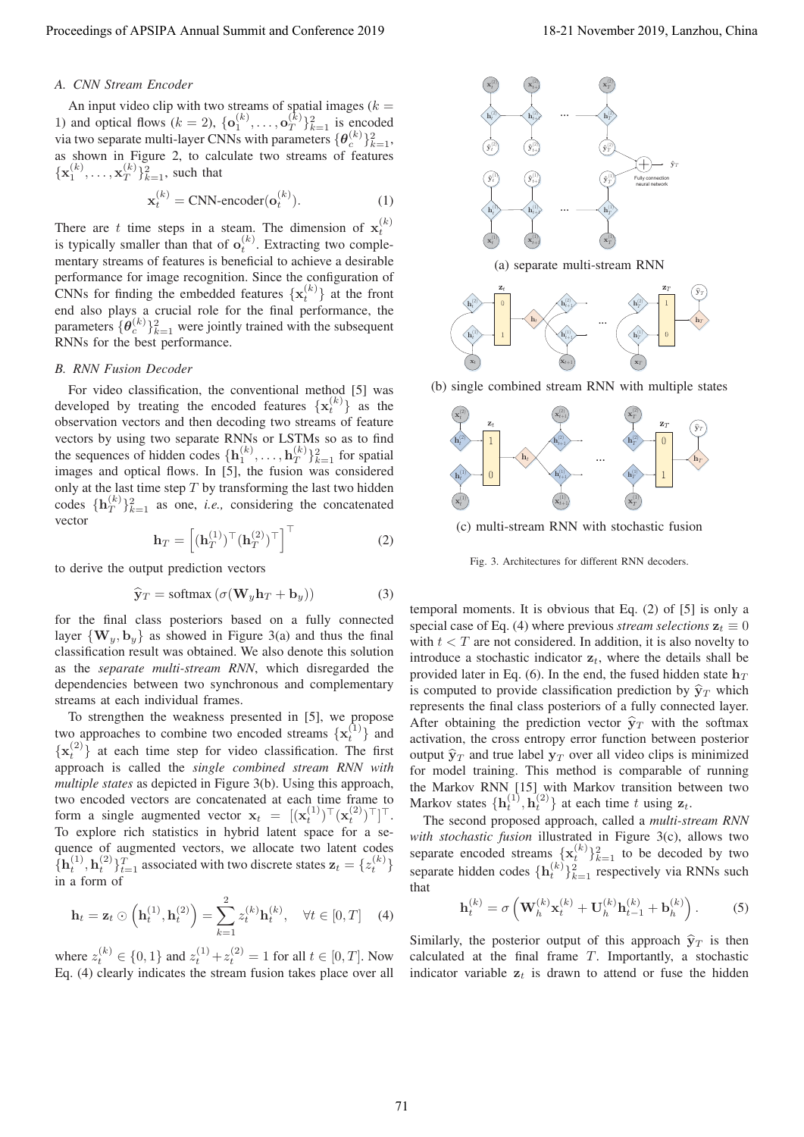# *A. CNN Stream Encoder*

An input video clip with two streams of spatial images ( $k =$ 1) and optical flows  $(k = 2)$ ,  $\{o_1^{(k)}, \ldots, o_T^{(k)}\}_{k=1}^2$  is encoded via two separate multi layer CNNs with parameters  $I\mathbf{a}^{(k)}$  12 via two separate multi-layer CNNs with parameters  $\{\boldsymbol{\theta}_c^{(k)}\}_{k=1}^2$ , as shown in Figure 2, to calculate two streams of features  ${\bf x}_1^{(k)}, \ldots, {\bf x}_T^{(k)}\}_{k=1}^2$ , such that

$$
\mathbf{x}_t^{(k)} = \text{CNN-encoder}(\mathbf{o}_t^{(k)}).
$$
 (1)

There are t time steps in a steam. The dimension of  $\mathbf{x}_t^{(k)}$  is typically smaller than that of  $\mathbf{o}_t^{(k)}$ . Extracting two complementary streams of features is beneficial to achieve a desirable performance for image recognition. Since the configuration of CNNs for finding the embedded features  $\{x_t^{(k)}\}$  at the front end also plays a crucial role for the final performance, the parameters  $\{\theta_c^{(k)}\}_{k=1}^2$  were jointly trained with the subsequent RNNs for the best performance.

## *B. RNN Fusion Decoder*

For video classification, the conventional method [5] was developed by treating the encoded features  $\{x_t^{(k)}\}$  as the observation vectors and then decoding two streams of feature vectors by using two separate RNNs or LSTMs so as to find the sequences of hidden codes  ${\bf h}_1^{(k)}, \dots, {\bf h}_T^{(k)}\}_{k=1}^2$  for spatial<br>images and optical flows. In [5], the fusion was considered images and optical flows. In [5], the fusion was considered only at the last time step  $T$  by transforming the last two hidden codes  $\{\mathbf{h}_T^{(k)}\}_{k=1}^2$  as one, *i.e.*, considering the concatenated vector

$$
\mathbf{h}_T = \left[ (\mathbf{h}_T^{(1)})^\top (\mathbf{h}_T^{(2)})^\top \right]^\top \tag{2}
$$

to derive the output prediction vectors

$$
\hat{\mathbf{y}}_T = \text{softmax}\left(\sigma(\mathbf{W}_y \mathbf{h}_T + \mathbf{b}_y)\right) \tag{3}
$$

for the final class posteriors based on a fully connected layer  $\{W_u, b_v\}$  as showed in Figure 3(a) and thus the final classification result was obtained. We also denote this solution as the *separate multi-stream RNN*, which disregarded the dependencies between two synchronous and complementary streams at each individual frames.

To strengthen the weakness presented in [5], we propose two approaches to combine two encoded streams  $\{x_t^{(1)}\}$  and  ${x<sub>t</sub><sup>(2)</sup>}$  at each time step for video classification. The first approach is called the *single combined stream RNN with multiple states* as depicted in Figure 3(b). Using this approach, two encoded vectors are concatenated at each time frame to form a single augmented vector  $\mathbf{x}_t = [(\mathbf{x}_t^{(1)})^\top (\mathbf{x}_t^{(2)})^\top]^\top$ .<br>To explore rich statistics in hybrid latent space for a se-To explore rich statistics in hybrid latent space for a sequence of augmented vectors, we allocate two latent codes  ${\bf h}_{t}^{(1)}, {\bf h}_{t}^{(2)}\}^{T}_{t=1}$  associated with two discrete states  ${\bf z}_{t} = \{z_{t}^{(k)}\}$ in a form of

$$
\mathbf{h}_t = \mathbf{z}_t \odot \left(\mathbf{h}_t^{(1)}, \mathbf{h}_t^{(2)}\right) = \sum_{k=1}^2 z_t^{(k)} \mathbf{h}_t^{(k)}, \quad \forall t \in [0, T] \quad (4)
$$

where  $z_t^{(k)} \in \{0,1\}$  and  $z_t^{(1)} + z_t^{(2)} = 1$  for all  $t \in [0,T]$ . Now where  $z_t \in \{0, 1\}$  and  $z_t + z_t = 1$  for an  $t \in [0, 1]$ . Now<br>Eq. (4) clearly indicates the stream fusion takes place over all



(b) single combined stream RNN with multiple states



(c) multi-stream RNN with stochastic fusion

Fig. 3. Architectures for different RNN decoders.

temporal moments. It is obvious that Eq. (2) of [5] is only a special case of Eq. (4) where previous *stream selections*  $z_t \equiv 0$ with  $t < T$  are not considered. In addition, it is also novelty to introduce a stochastic indicator  $z_t$ , where the details shall be provided later in Eq. (6). In the end, the fused hidden state  $h_T$ is computed to provide classification prediction by  $\hat{y}_T$  which represents the final class posteriors of a fully connected layer. After obtaining the prediction vector  $\hat{y}_T$  with the softmax activation, the cross entropy error function between posterior output  $\hat{\mathbf{y}}_T$  and true label  $\mathbf{y}_T$  over all video clips is minimized for model training. This method is comparable of running the Markov RNN [15] with Markov transition between two Markov states  ${\bf h}_t^{(1)}, {\bf h}_t^{(2)}$  at each time t using  ${\bf z}_t$ .<br>The second proposed approach called a *multi* st

The second proposed approach, called a *multi-stream RNN with stochastic fusion* illustrated in Figure 3(c), allows two separate encoded streams  ${x<sub>t</sub> \x<sub>t</sub> \x<sub>t</sub> \x<sub>t</sub> \x<sub>t-1</sub>}$  to be decoded by two separate hidden codes  $\{\mathbf{h}_t^{(k)}\}_{k=1}^2$  respectively via RNNs such that

$$
\mathbf{h}_t^{(k)} = \sigma \left( \mathbf{W}_h^{(k)} \mathbf{x}_t^{(k)} + \mathbf{U}_h^{(k)} \mathbf{h}_{t-1}^{(k)} + \mathbf{b}_h^{(k)} \right). \tag{5}
$$

Similarly, the posterior output of this approach  $\hat{\mathbf{v}}_T$  is then calculated at the final frame T. Importantly, a stochastic indicator variable  $z_t$  is drawn to attend or fuse the hidden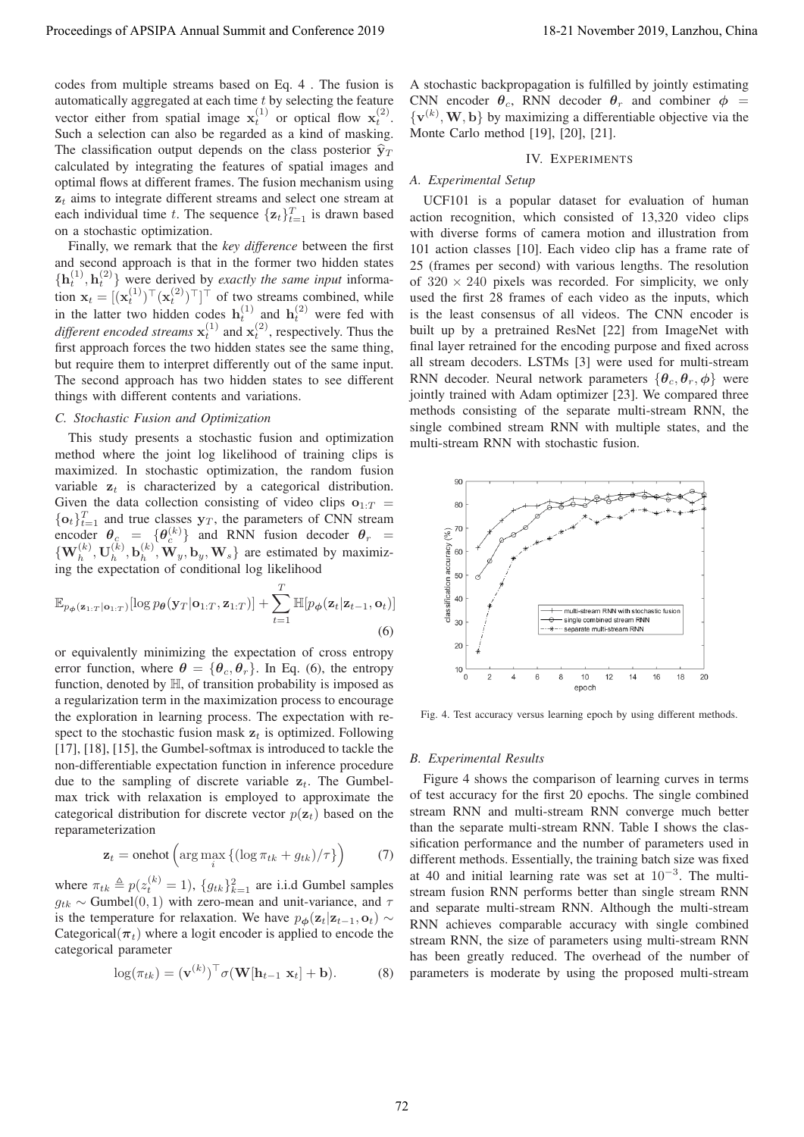codes from multiple streams based on Eq. 4 . The fusion is automatically aggregated at each time t by selecting the feature vector either from spatial image  $\mathbf{x}_t^{(1)}$  or optical flow  $\mathbf{x}_t^{(2)}$ . Such a selection can also be regarded as a kind of masking. The classification output depends on the class posterior  $\hat{\mathbf{y}}_T$ calculated by integrating the features of spatial images and optimal flows at different frames. The fusion mechanism using  $z_t$  aims to integrate different streams and select one stream at each individual time t. The sequence  $\{\mathbf{z}_t\}_{t=1}^T$  is drawn based<br>on a stochastic optimization on a stochastic optimization.

Finally, we remark that the *key difference* between the first and second approach is that in the former two hidden states  ${\bf h}_t^{(1)}, {\bf h}_t^{(2)}$  were derived by *exactly the same input* informa-<br>tion  ${\bf x} = [({\bf x}_t^{(1)})^\top ({\bf x}_t^{(2)})^\top]^\top$  of two streams combined while tion  $\mathbf{x}_t = [(\mathbf{x}_t^{(1)})^\top (\mathbf{x}_t^{(2)})^\top]^\top$  of two streams combined, while in the latter two hidden codes  $h_t^{(1)}$  and  $h_t^{(2)}$  were fed with *different encoded streams*  $\mathbf{x}_t^{(1)}$  and  $\mathbf{x}_t^{(2)}$ , respectively. Thus the first approach forces the two hidden states see the same thing, but require them to interpret differently out of the same input. The second approach has two hidden states to see different things with different contents and variations.

## *C. Stochastic Fusion and Optimization*

This study presents a stochastic fusion and optimization method where the joint log likelihood of training clips is maximized. In stochastic optimization, the random fusion variable  $z_t$  is characterized by a categorical distribution. Given the data collection consisting of video clips  $\mathbf{o}_{1:T}$  $\{\mathbf{o}_t\}_{t=1}^T$  and true classes  $\mathbf{y}_T$ , the parameters of CNN stream encoder  $\theta_c = {\theta_c^{(k)}}$  and RNN fusion decoder  $\theta_r =$ <br> $\mathbf{W}^{(k)}$   $\mathbf{U}^{(k)}$   $\mathbf{V}^{(k)}$  and  $\mathbf{W}^{(k)}$  are estimated by maximize  ${\bf\{W}}_h^{(k)}, {\bf U}_h^{(k)}, {\bf b}_h^{(k)}, {\bf W}_y, {\bf b}_y, {\bf W}_s\}$  are estimated by maximiz-<br>ing the expectation of conditional log likelihood ing the expectation of conditional log likelihood

$$
\mathbb{E}_{p_{\boldsymbol{\phi}}(\mathbf{z}_{1:T}|\mathbf{o}_{1:T})}[\log p_{\boldsymbol{\theta}}(\mathbf{y}_T|\mathbf{o}_{1:T}, \mathbf{z}_{1:T})] + \sum_{t=1}^T \mathbb{H}[p_{\boldsymbol{\phi}}(\mathbf{z}_t|\mathbf{z}_{t-1}, \mathbf{o}_t)]
$$
\n(6)

or equivalently minimizing the expectation of cross entropy error function, where  $\theta = {\theta_c, \theta_r}$ . In Eq. (6), the entropy function, denoted by H, of transition probability is imposed as a regularization term in the maximization process to encourage the exploration in learning process. The expectation with respect to the stochastic fusion mask  $z_t$  is optimized. Following [17], [18], [15], the Gumbel-softmax is introduced to tackle the non-differentiable expectation function in inference procedure due to the sampling of discrete variable  $z_t$ . The Gumbelmax trick with relaxation is employed to approximate the categorical distribution for discrete vector  $p(\mathbf{z}_t)$  based on the reparameterization

$$
\mathbf{z}_t = \text{onehot}\left(\arg\max_i\left\{(\log \pi_{tk} + g_{tk})/\tau\right\}\right) \tag{7}
$$

where  $\pi_{tk} \triangleq p(z_t^{(k)} = 1)$ ,  $\{g_{tk}\}_{k=1}^2$  are i.i.d Gumbel samples  $g_{tt} \geq G$ umbel $(0, 1)$  with zero-mean and unit-variance and  $\tau$  $g_{tk} \sim \text{Gumbel}(0, 1)$  with zero-mean and unit-variance, and  $\tau$ <br>is the temperature for relaxation. We have  $n_t$  (z, z,  $\tau$ , o,) is the temperature for relaxation. We have  $p_{\phi}(\mathbf{z}_t|\mathbf{z}_{t-1}, \mathbf{o}_t) \sim$ Categorical( $\pi_t$ ) where a logit encoder is applied to encode the categorical parameter

$$
\log(\pi_{tk}) = (\mathbf{v}^{(k)})^{\top} \sigma(\mathbf{W}[\mathbf{h}_{t-1} \mathbf{x}_t] + \mathbf{b}).
$$
 (8)

A stochastic backpropagation is fulfilled by jointly estimating CNN encoder  $\theta_c$ , RNN decoder  $\theta_r$  and combiner  $\phi$  =  $\{v^{(k)}, W, b\}$  by maximizing a differentiable objective via the Monte Carlo method [19] [20] [21] Monte Carlo method [19], [20], [21].

#### IV. EXPERIMENTS

#### *A. Experimental Setup*

UCF101 is a popular dataset for evaluation of human action recognition, which consisted of 13,320 video clips with diverse forms of camera motion and illustration from 101 action classes [10]. Each video clip has a frame rate of 25 (frames per second) with various lengths. The resolution of  $320 \times 240$  pixels was recorded. For simplicity, we only used the first 28 frames of each video as the inputs, which is the least consensus of all videos. The CNN encoder is built up by a pretrained ResNet [22] from ImageNet with final layer retrained for the encoding purpose and fixed across all stream decoders. LSTMs [3] were used for multi-stream RNN decoder. Neural network parameters  $\{\theta_c, \theta_r, \phi\}$  were jointly trained with Adam optimizer [23]. We compared three methods consisting of the separate multi-stream RNN, the single combined stream RNN with multiple states, and the multi-stream RNN with stochastic fusion. Proceedings of APSIPA Annual Summit at China 5-21 November 2019, The November 2019, China Conference 2019, The November 2019, The November 2019, The November 2019, The November 2019, The November 2019, The November 2019,



Fig. 4. Test accuracy versus learning epoch by using different methods.

## *B. Experimental Results*

Figure 4 shows the comparison of learning curves in terms of test accuracy for the first 20 epochs. The single combined stream RNN and multi-stream RNN converge much better than the separate multi-stream RNN. Table I shows the classification performance and the number of parameters used in different methods. Essentially, the training batch size was fixed at 40 and initial learning rate was set at  $10^{-3}$ . The multistream fusion RNN performs better than single stream RNN and separate multi-stream RNN. Although the multi-stream RNN achieves comparable accuracy with single combined stream RNN, the size of parameters using multi-stream RNN has been greatly reduced. The overhead of the number of parameters is moderate by using the proposed multi-stream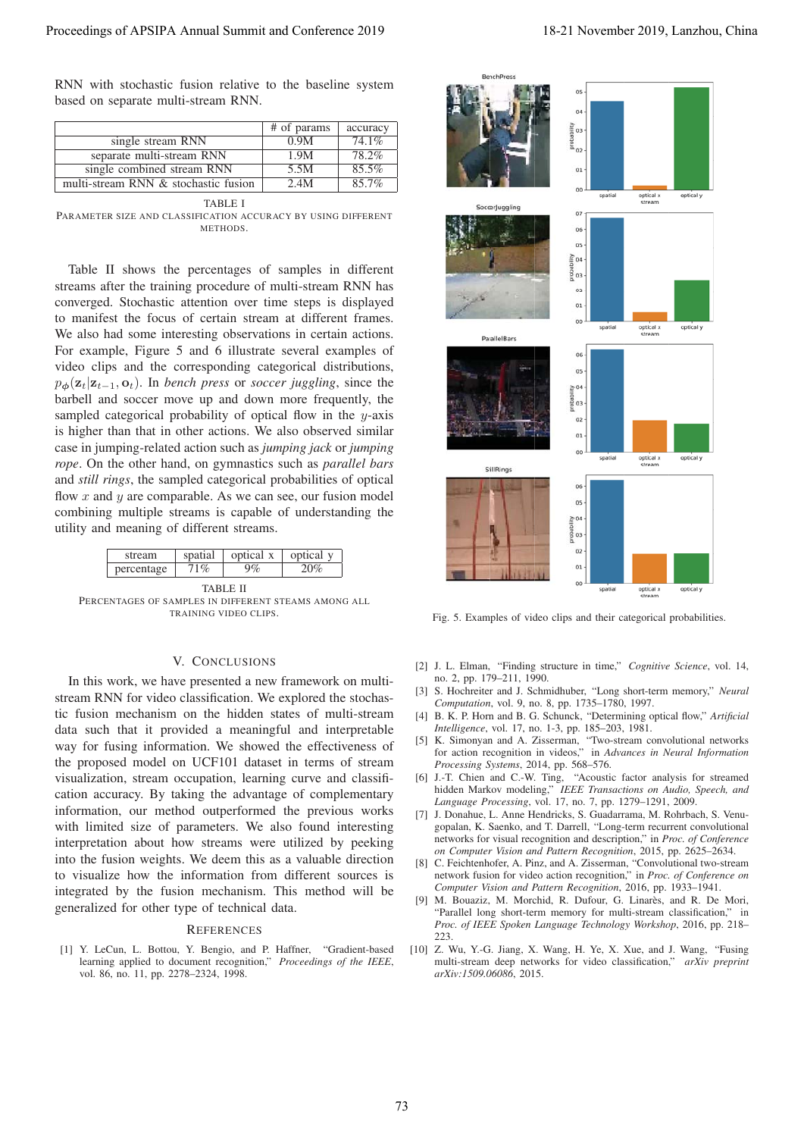RNN with stochastic fusion relative to the baseline system based on separate multi-stream RNN.

|                                      | # of params | accuracy |
|--------------------------------------|-------------|----------|
| single stream RNN                    | 0.9M        | 74.1%    |
| separate multi-stream RNN            | 1.9M        | 78.2%    |
| single combined stream RNN           | 5.5M        | 85.5%    |
| multi-stream RNN & stochastic fusion | 2.4M        | 85.7%    |

TABLE I

PARAMETER SIZE AND CLASSIFICATION ACCURACY BY USING DIFFERENT METHODS.

Table II shows the percentages of samples in different streams after the training procedure of multi-stream RNN has converged. Stochastic attention over time steps is displayed to manifest the focus of certain stream at different frames. We also had some interesting observations in certain actions. For example, Figure 5 and 6 illustrate several examples of video clips and the corresponding categorical distributions,  $p_{\phi}(\mathbf{z}_t|\mathbf{z}_{t-1}, \mathbf{o}_t)$ . In *bench press* or *soccer juggling*, since the barbell and soccer move up and down more frequently, the sampled categorical probability of optical flow in the  $y$ -axis is higher than that in other actions. We also observed similar case in jumping-related action such as *jumping jack* or *jumping rope*. On the other hand, on gymnastics such as *parallel bars* and *still rings*, the sampled categorical probabilities of optical flow x and  $y$  are comparable. As we can see, our fusion model combining multiple streams is capable of understanding the utility and meaning of different streams.

| stream     | spatial | optical x | optical |
|------------|---------|-----------|---------|
| percentage | $\%$    |           |         |
|            |         |           |         |

TABLE II PERCENTAGES OF SAMPLES IN DIFFERENT STEAMS AMONG ALL TRAINING VIDEO CLIPS.

# V. CONCLUSIONS

In this work, we have presented a new framework on multistream RNN for video classification. We explored the stochastic fusion mechanism on the hidden states of multi-stream data such that it provided a meaningful and interpretable way for fusing information. We showed the effectiveness of the proposed model on UCF101 dataset in terms of stream visualization, stream occupation, learning curve and classification accuracy. By taking the advantage of complementary information, our method outperformed the previous works with limited size of parameters. We also found interesting interpretation about how streams were utilized by peeking into the fusion weights. We deem this as a valuable direction to visualize how the information from different sources is integrated by the fusion mechanism. This method will be generalized for other type of technical data.

#### **REFERENCES**

[1] Y. LeCun, L. Bottou, Y. Bengio, and P. Haffner, "Gradient-based learning applied to document recognition," *Proceedings of the IEEE*, vol. 86, no. 11, pp. 2278–2324, 1998.



Fig. 5. Examples of video clips and their categorical probabilities.

- [2] J. L. Elman, "Finding structure in time," *Cognitive Science*, vol. 14, no. 2, pp. 179–211, 1990.
- [3] S. Hochreiter and J. Schmidhuber, "Long short-term memory," *Neural Computation*, vol. 9, no. 8, pp. 1735–1780, 1997.
- [4] B. K. P. Horn and B. G. Schunck, "Determining optical flow," *Artificial Intelligence*, vol. 17, no. 1-3, pp. 185–203, 1981.
- [5] K. Simonyan and A. Zisserman, "Two-stream convolutional networks for action recognition in videos," in *Advances in Neural Information Processing Systems*, 2014, pp. 568–576.
- [6] J.-T. Chien and C.-W. Ting, "Acoustic factor analysis for streamed hidden Markov modeling," *IEEE Transactions on Audio, Speech, and Language Processing*, vol. 17, no. 7, pp. 1279–1291, 2009.
- [7] J. Donahue, L. Anne Hendricks, S. Guadarrama, M. Rohrbach, S. Venugopalan, K. Saenko, and T. Darrell, "Long-term recurrent convolutional networks for visual recognition and description," in *Proc. of Conference on Computer Vision and Pattern Recognition*, 2015, pp. 2625–2634.
- [8] C. Feichtenhofer, A. Pinz, and A. Zisserman, "Convolutional two-stream network fusion for video action recognition," in *Proc. of Conference on Computer Vision and Pattern Recognition*, 2016, pp. 1933–1941.
- [9] M. Bouaziz, M. Morchid, R. Dufour, G. Linarès, and R. De Mori, "Parallel long short-term memory for multi-stream classification," in *Proc. of IEEE Spoken Language Technology Workshop*, 2016, pp. 218– 223.
- [10] Z. Wu, Y.-G. Jiang, X. Wang, H. Ye, X. Xue, and J. Wang, "Fusing multi-stream deep networks for video classification," *arXiv preprint arXiv:1509.06086*, 2015.